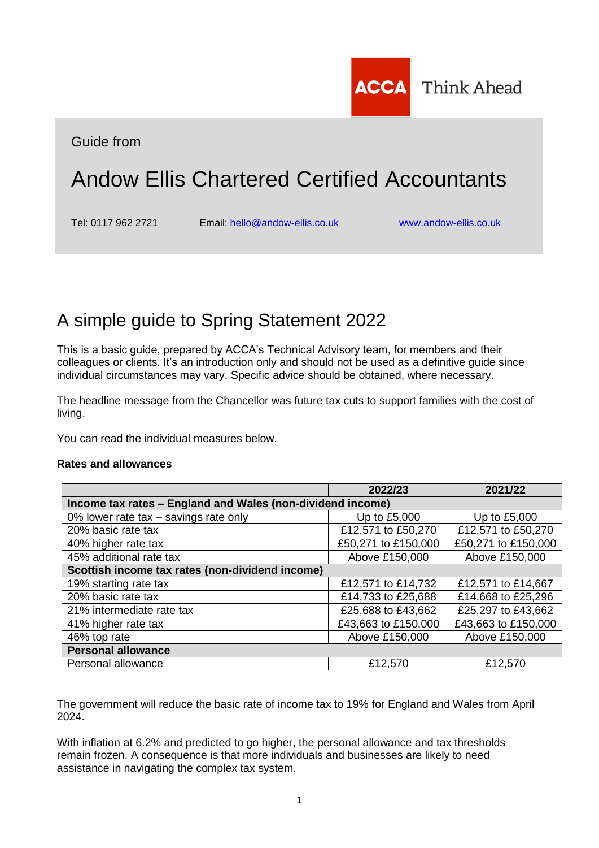

Guide from

# Andow Ellis Chartered Certified Accountants

Tel: 0117 962 2721 Email: [hello@andow-ellis.co.uk](mailto:hello@andow-ellis.co.uk) [www.andow-ellis.co.uk](http://www.andow-ellis.co.uk/)

## A simple guide to Spring Statement 2022

This is a basic guide, prepared by ACCA's Technical Advisory team, for members and their colleagues or clients. It's an introduction only and should not be used as a definitive guide since individual circumstances may vary. Specific advice should be obtained, where necessary.

The headline message from the Chancellor was future tax cuts to support families with the cost of living.

You can read the individual measures below.

## **Rates and allowances**

|                                                            | 2022/23             | 2021/22             |  |
|------------------------------------------------------------|---------------------|---------------------|--|
| Income tax rates – England and Wales (non-dividend income) |                     |                     |  |
| 0% lower rate tax - savings rate only                      | Up to £5,000        | Up to £5,000        |  |
| 20% basic rate tax                                         | £12,571 to £50,270  | £12,571 to £50,270  |  |
| 40% higher rate tax                                        | £50,271 to £150,000 | £50,271 to £150,000 |  |
| 45% additional rate tax                                    | Above £150,000      | Above £150,000      |  |
| Scottish income tax rates (non-dividend income)            |                     |                     |  |
| 19% starting rate tax                                      | £12,571 to £14,732  | £12,571 to £14,667  |  |
| 20% basic rate tax                                         | £14,733 to £25,688  | £14,668 to £25,296  |  |
| 21% intermediate rate tax                                  | £25,688 to £43,662  | £25,297 to £43,662  |  |
| 41% higher rate tax                                        | £43,663 to £150,000 | £43,663 to £150,000 |  |
| 46% top rate                                               | Above £150,000      | Above £150,000      |  |
| <b>Personal allowance</b>                                  |                     |                     |  |
| Personal allowance                                         | £12,570             | £12,570             |  |
|                                                            |                     |                     |  |

The government will reduce the basic rate of income tax to 19% for England and Wales from April 2024.

With inflation at 6.2% and predicted to go higher, the personal allowance and tax thresholds remain frozen. A consequence is that more individuals and businesses are likely to need assistance in navigating the complex tax system.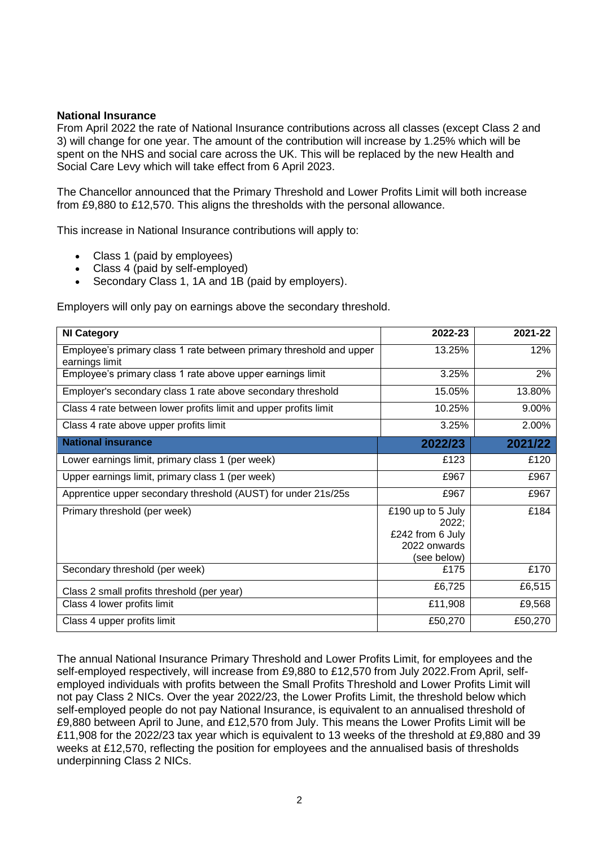## **National Insurance**

From April 2022 the rate of National Insurance contributions across all classes (except Class 2 and 3) will change for one year. The amount of the contribution will increase by 1.25% which will be spent on the NHS and social care across the UK. This will be replaced by the new Health and Social Care Levy which will take effect from 6 April 2023.

The Chancellor announced that the Primary Threshold and Lower Profits Limit will both increase from £9,880 to £12,570. This aligns the thresholds with the personal allowance.

This increase in National Insurance contributions will apply to:

- Class 1 (paid by employees)
- Class 4 (paid by self-employed)
- Secondary Class 1, 1A and 1B (paid by employers).

Employers will only pay on earnings above the secondary threshold.

| <b>NI Category</b>                                                                    | 2022-23                                                                       | 2021-22 |
|---------------------------------------------------------------------------------------|-------------------------------------------------------------------------------|---------|
| Employee's primary class 1 rate between primary threshold and upper<br>earnings limit | 13.25%                                                                        | 12%     |
| Employee's primary class 1 rate above upper earnings limit                            | 3.25%                                                                         | 2%      |
| Employer's secondary class 1 rate above secondary threshold                           | 15.05%                                                                        | 13.80%  |
| Class 4 rate between lower profits limit and upper profits limit                      | 10.25%                                                                        | 9.00%   |
| Class 4 rate above upper profits limit                                                | 3.25%                                                                         | 2.00%   |
| <b>National insurance</b>                                                             | 2022/23                                                                       | 2021/22 |
| Lower earnings limit, primary class 1 (per week)                                      | £123                                                                          | £120    |
| Upper earnings limit, primary class 1 (per week)                                      | £967                                                                          | £967    |
| Apprentice upper secondary threshold (AUST) for under 21s/25s                         | £967                                                                          | £967    |
| Primary threshold (per week)                                                          | £190 up to 5 July<br>2022;<br>£242 from 6 July<br>2022 onwards<br>(see below) | £184    |
| Secondary threshold (per week)                                                        | £175                                                                          | £170    |
| Class 2 small profits threshold (per year)                                            | £6,725                                                                        | £6,515  |
| Class 4 lower profits limit                                                           | £11,908                                                                       | £9,568  |
| Class 4 upper profits limit                                                           | £50,270                                                                       | £50,270 |

The annual National Insurance Primary Threshold and Lower Profits Limit, for employees and the self-employed respectively, will increase from £9,880 to £12,570 from July 2022.From April, selfemployed individuals with profits between the Small Profits Threshold and Lower Profits Limit will not pay Class 2 NICs. Over the year 2022/23, the Lower Profits Limit, the threshold below which self-employed people do not pay National Insurance, is equivalent to an annualised threshold of £9,880 between April to June, and £12,570 from July. This means the Lower Profits Limit will be £11,908 for the 2022/23 tax year which is equivalent to 13 weeks of the threshold at £9,880 and 39 weeks at £12,570, reflecting the position for employees and the annualised basis of thresholds underpinning Class 2 NICs.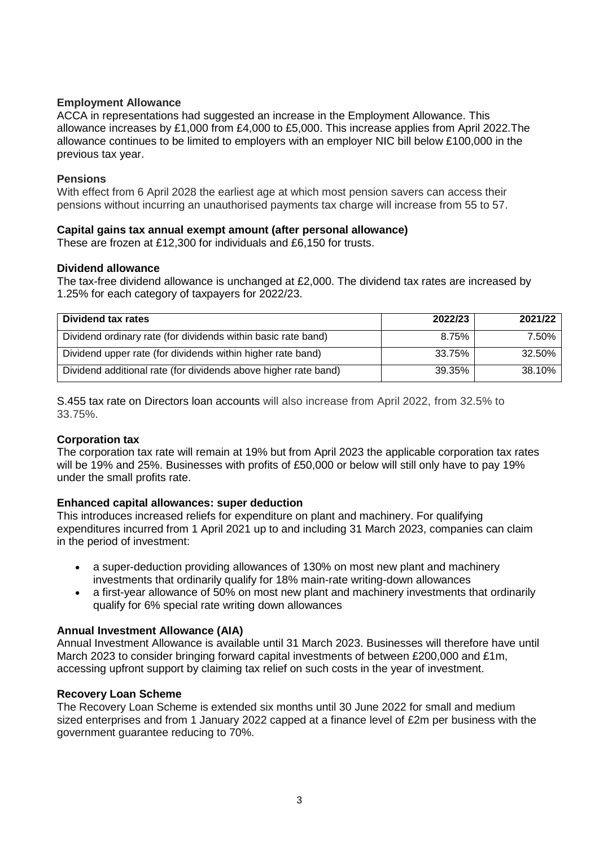## **Employment Allowance**

ACCA in representations had suggested an increase in the Employment Allowance. This allowance increases by £1,000 from £4,000 to £5,000. This increase applies from April 2022.The allowance continues to be limited to employers with an employer NIC bill below £100,000 in the previous tax year.

## **Pensions**

With effect from 6 April 2028 the earliest age at which most pension savers can access their pensions without incurring an unauthorised payments tax charge will increase from 55 to 57.

## **Capital gains tax annual exempt amount (after personal allowance)**

These are frozen at £12,300 for individuals and £6,150 for trusts.

## **Dividend allowance**

The tax-free dividend allowance is unchanged at £2,000. The dividend tax rates are increased by 1.25% for each category of taxpayers for 2022/23.

| Dividend tax rates                                              | 2022/23 | 2021/22 |
|-----------------------------------------------------------------|---------|---------|
| Dividend ordinary rate (for dividends within basic rate band)   | 8.75%   | 7.50%   |
| Dividend upper rate (for dividends within higher rate band)     | 33.75%  | 32.50%  |
| Dividend additional rate (for dividends above higher rate band) | 39.35%  | 38.10%  |

S.455 tax rate on Directors loan accounts will also increase from April 2022, from 32.5% to 33.75%.

## **Corporation tax**

The corporation tax rate will remain at 19% but from April 2023 the applicable corporation tax rates will be 19% and 25%. Businesses with profits of £50,000 or below will still only have to pay 19% under the small profits rate.

## **Enhanced capital allowances: super deduction**

This introduces increased reliefs for expenditure on plant and machinery. For qualifying expenditures incurred from 1 April 2021 up to and including 31 March 2023, companies can claim in the period of investment:

- a super-deduction providing allowances of 130% on most new plant and machinery investments that ordinarily qualify for 18% main-rate writing-down allowances
- a first-year allowance of 50% on most new plant and machinery investments that ordinarily qualify for 6% special rate writing down allowances

## **Annual Investment Allowance (AIA)**

Annual Investment Allowance is available until 31 March 2023. Businesses will therefore have until March 2023 to consider bringing forward capital investments of between £200,000 and £1m, accessing upfront support by claiming tax relief on such costs in the year of investment.

## **Recovery Loan Scheme**

The Recovery Loan Scheme is extended six months until 30 June 2022 for small and medium sized enterprises and from 1 January 2022 capped at a finance level of £2m per business with the government guarantee reducing to 70%.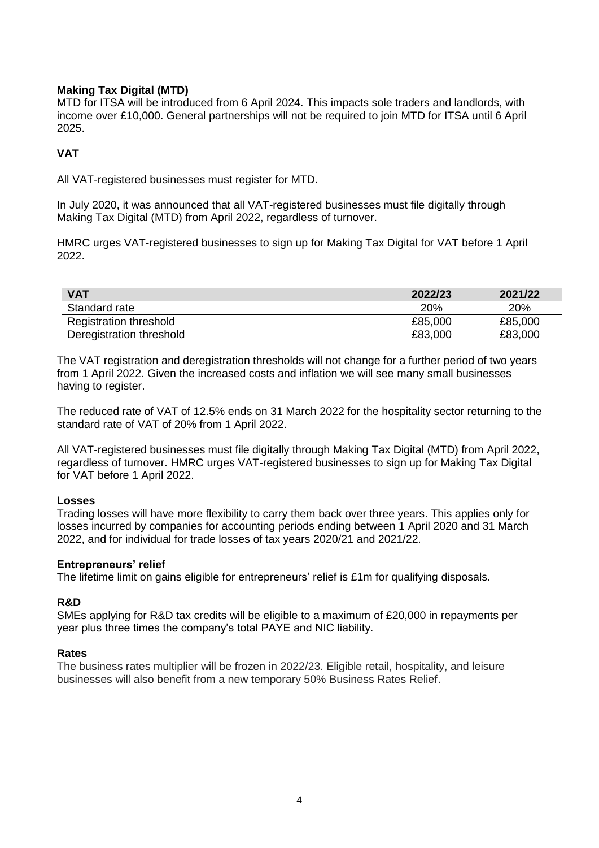## **Making Tax Digital (MTD)**

MTD for ITSA will be introduced from 6 April 2024. This impacts sole traders and landlords, with income over £10,000. General partnerships will not be required to join MTD for ITSA until 6 April 2025.

## **VAT**

All VAT-registered businesses must register for MTD.

In July 2020, it was announced that all VAT-registered businesses must file digitally through Making Tax Digital (MTD) from April 2022, regardless of turnover.

HMRC urges VAT-registered businesses to sign up for Making Tax Digital for VAT before 1 April 2022.

| <b>VAT</b>                    | 2022/23    | 2021/22 |
|-------------------------------|------------|---------|
| Standard rate                 | <b>20%</b> | 20%     |
| <b>Registration threshold</b> | £85,000    | £85,000 |
| Deregistration threshold      | £83,000    | £83,000 |

The VAT registration and deregistration thresholds will not change for a further period of two years from 1 April 2022. Given the increased costs and inflation we will see many small businesses having to register.

The reduced rate of VAT of 12.5% ends on 31 March 2022 for the hospitality sector returning to the standard rate of VAT of 20% from 1 April 2022.

All VAT-registered businesses must file digitally through Making Tax Digital (MTD) from April 2022, regardless of turnover. HMRC urges VAT-registered businesses to sign up for Making Tax Digital for VAT before 1 April 2022.

## **Losses**

Trading losses will have more flexibility to carry them back over three years. This applies only for losses incurred by companies for accounting periods ending between 1 April 2020 and 31 March 2022, and for individual for trade losses of tax years 2020/21 and 2021/22.

## **Entrepreneurs' relief**

The lifetime limit on gains eligible for entrepreneurs' relief is £1m for qualifying disposals.

## **R&D**

SMEs applying for R&D tax credits will be eligible to a maximum of £20,000 in repayments per year plus three times the company's total PAYE and NIC liability.

## **Rates**

The business rates multiplier will be frozen in 2022/23. Eligible retail, hospitality, and leisure businesses will also benefit from a new temporary 50% Business Rates Relief.